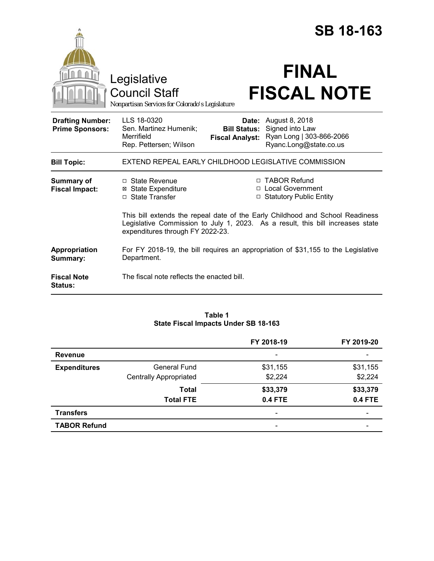|                                                   |                                                                                                                                                                                                     |                                 | <b>SB 18-163</b>                                                                                            |  |
|---------------------------------------------------|-----------------------------------------------------------------------------------------------------------------------------------------------------------------------------------------------------|---------------------------------|-------------------------------------------------------------------------------------------------------------|--|
|                                                   | Legislative<br><b>Council Staff</b><br>Nonpartisan Services for Colorado's Legislature                                                                                                              |                                 | <b>FINAL</b><br><b>FISCAL NOTE</b>                                                                          |  |
| <b>Drafting Number:</b><br><b>Prime Sponsors:</b> | LLS 18-0320<br>Sen. Martinez Humenik;<br>Merrifield<br>Rep. Pettersen; Wilson                                                                                                                       | Date:<br><b>Fiscal Analyst:</b> | August 8, 2018<br><b>Bill Status:</b> Signed into Law<br>Ryan Long   303-866-2066<br>Ryanc.Long@state.co.us |  |
| <b>Bill Topic:</b>                                | EXTEND REPEAL EARLY CHILDHOOD LEGISLATIVE COMMISSION                                                                                                                                                |                                 |                                                                                                             |  |
| <b>Summary of</b><br><b>Fiscal Impact:</b>        | $\Box$ State Revenue<br><b>⊠</b> State Expenditure<br>$\Box$ State Transfer                                                                                                                         |                                 | □ TABOR Refund<br>□ Local Government<br>□ Statutory Public Entity                                           |  |
|                                                   | This bill extends the repeal date of the Early Childhood and School Readiness<br>Legislative Commission to July 1, 2023. As a result, this bill increases state<br>expenditures through FY 2022-23. |                                 |                                                                                                             |  |
| Appropriation<br>Summary:                         | For FY 2018-19, the bill requires an appropriation of \$31,155 to the Legislative<br>Department.                                                                                                    |                                 |                                                                                                             |  |
| <b>Fiscal Note</b><br><b>Status:</b>              | The fiscal note reflects the enacted bill.                                                                                                                                                          |                                 |                                                                                                             |  |

## **Table 1 State Fiscal Impacts Under SB 18-163**

|                     |                               | FY 2018-19                   | FY 2019-20               |
|---------------------|-------------------------------|------------------------------|--------------------------|
| <b>Revenue</b>      |                               |                              |                          |
| <b>Expenditures</b> | General Fund                  | \$31,155                     | \$31,155                 |
|                     | <b>Centrally Appropriated</b> | \$2,224                      | \$2,224                  |
|                     | <b>Total</b>                  | \$33,379                     | \$33,379                 |
|                     | <b>Total FTE</b>              | <b>0.4 FTE</b>               | <b>0.4 FTE</b>           |
| <b>Transfers</b>    |                               | $\qquad \qquad \blacksquare$ | $\overline{\phantom{0}}$ |
| <b>TABOR Refund</b> |                               | $\qquad \qquad \blacksquare$ |                          |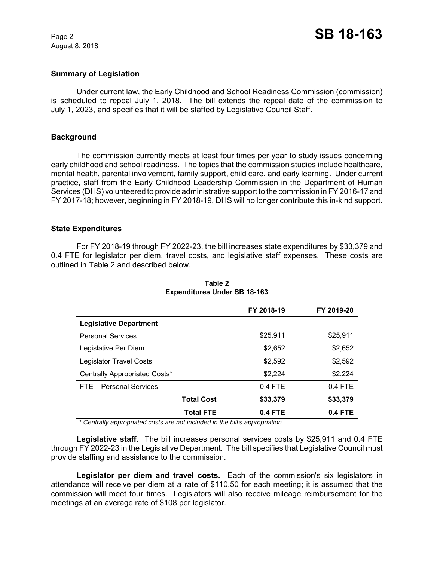August 8, 2018

# **Summary of Legislation**

Under current law, the Early Childhood and School Readiness Commission (commission) is scheduled to repeal July 1, 2018. The bill extends the repeal date of the commission to July 1, 2023, and specifies that it will be staffed by Legislative Council Staff.

# **Background**

The commission currently meets at least four times per year to study issues concerning early childhood and school readiness. The topics that the commission studies include healthcare, mental health, parental involvement, family support, child care, and early learning. Under current practice, staff from the Early Childhood Leadership Commission in the Department of Human Services (DHS) volunteered to provide administrative support to the commission in FY 2016-17 and FY 2017-18; however, beginning in FY 2018-19, DHS will no longer contribute this in-kind support.

## **State Expenditures**

For FY 2018-19 through FY 2022-23, the bill increases state expenditures by \$33,379 and 0.4 FTE for legislator per diem, travel costs, and legislative staff expenses. These costs are outlined in Table 2 and described below.

|                                | FY 2018-19 | FY 2019-20 |
|--------------------------------|------------|------------|
| <b>Legislative Department</b>  |            |            |
| <b>Personal Services</b>       | \$25.911   | \$25,911   |
| Legislative Per Diem           | \$2,652    | \$2,652    |
| <b>Legislator Travel Costs</b> | \$2,592    | \$2,592    |
| Centrally Appropriated Costs*  | \$2,224    | \$2,224    |
| FTE - Personal Services        | $0.4$ FTE  | $0.4$ FTE  |
| <b>Total Cost</b>              | \$33,379   | \$33,379   |
| <b>Total FTE</b>               | 0.4 FTE    | 0.4 FTE    |

# **Table 2 Expenditures Under SB 18-163**

 *\* Centrally appropriated costs are not included in the bill's appropriation.*

**Legislative staff.** The bill increases personal services costs by \$25,911 and 0.4 FTE through FY 2022-23 in the Legislative Department. The bill specifies that Legislative Council must provide staffing and assistance to the commission.

Legislator per diem and travel costs. Each of the commission's six legislators in attendance will receive per diem at a rate of \$110.50 for each meeting; it is assumed that the commission will meet four times. Legislators will also receive mileage reimbursement for the meetings at an average rate of \$108 per legislator.